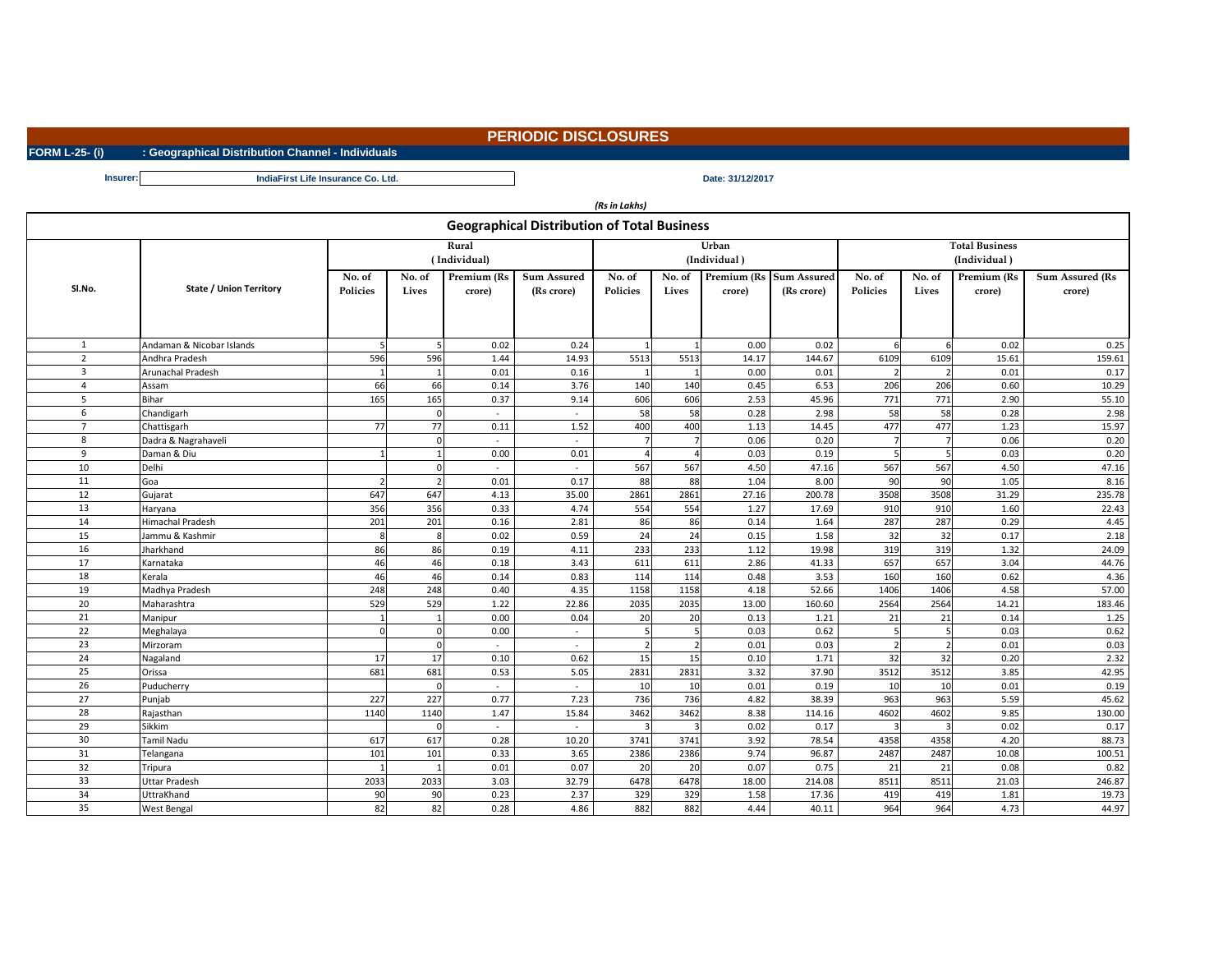**FORM L-25- (i) : Geographical Distribution Channel - Individuals**

*(Rs in Lakhs)*

**Insurer: Date: 31/12/2017 IndiaFirst Life Insurance Co. Ltd.**

| <b>Geographical Distribution of Total Business</b> |                                    |                       |                 |                                  |                                  |                       |                 |                       |                                  |                                       |                      |                       |                                  |  |
|----------------------------------------------------|------------------------------------|-----------------------|-----------------|----------------------------------|----------------------------------|-----------------------|-----------------|-----------------------|----------------------------------|---------------------------------------|----------------------|-----------------------|----------------------------------|--|
|                                                    |                                    | Rural<br>(Individual) |                 |                                  |                                  |                       |                 | Urban<br>(Individual) |                                  | <b>Total Business</b><br>(Individual) |                      |                       |                                  |  |
| SI.No.                                             | <b>State / Union Territory</b>     | No. of<br>Policies    | No. of<br>Lives | Premium (Rs<br>crore)            | <b>Sum Assured</b><br>(Rs crore) | No. of<br>Policies    | No. of<br>Lives | Premium (Rs<br>crore) | <b>Sum Assured</b><br>(Rs crore) | No. of<br><b>Policies</b>             | No. of<br>Lives      | Premium (Rs<br>crore) | <b>Sum Assured (Rs</b><br>crore) |  |
| $\mathbf{1}$                                       | Andaman & Nicobar Islands          |                       |                 |                                  |                                  |                       |                 | 0.00                  |                                  |                                       |                      | 0.02                  |                                  |  |
| $\overline{2}$                                     | Andhra Pradesh                     | 596                   | 596             | 0.02<br>1.44                     | 0.24<br>14.93                    | 5513                  | 5513            | 14.17                 | 0.02<br>144.67                   | 6109                                  | 6109                 | 15.61                 | 0.25<br>159.61                   |  |
| 3                                                  | Arunachal Pradesh                  |                       |                 |                                  |                                  |                       |                 |                       |                                  |                                       |                      |                       |                                  |  |
|                                                    | Assam                              | 66                    | 66              | 0.01<br>0.14                     | 0.16<br>3.76                     | 140                   | 140             | 0.00<br>0.45          | 0.01<br>6.53                     | 206                                   | 206                  | 0.01<br>0.60          | 0.17<br>10.29                    |  |
|                                                    | <b>Bihar</b>                       | 165                   | 165             | 0.37                             | 9.14                             | 606                   | 606             | 2.53                  | 45.96                            | 771                                   | 771                  | 2.90                  | 55.10                            |  |
| 6                                                  | Chandigarh                         |                       |                 |                                  |                                  | 58                    | 58              | 0.28                  | 2.98                             | 58                                    | 58                   | 0.28                  | 2.98                             |  |
| $\overline{7}$                                     |                                    | 77                    | 77              | $\overline{\phantom{a}}$<br>0.11 | $\sim$<br>1.52                   | 400                   | 400             | 1.13                  | 14.45                            | 477                                   | 477                  | 1.23                  | 15.97                            |  |
| 8                                                  | Chattisgarh<br>Dadra & Nagrahaveli |                       |                 |                                  | $\sim$                           |                       |                 | 0.06                  | 0.20                             |                                       |                      | 0.06                  | 0.20                             |  |
| 9                                                  | Daman & Diu                        |                       |                 | 0.00                             | 0.01                             |                       |                 | 0.03                  | 0.19                             |                                       |                      | 0.03                  | 0.20                             |  |
| 10                                                 | Delhi                              |                       |                 | $\sim$                           | $\sim$                           | 567                   | 567             | 4.50                  | 47.16                            | 567                                   | 567                  | 4.50                  | 47.16                            |  |
| 11                                                 | Goa                                |                       |                 | 0.01                             | 0.17                             | 88                    | 88              | 1.04                  | 8.00                             | 90l                                   | 90                   | 1.05                  | 8.16                             |  |
| 12                                                 | Gujarat                            | 647                   | 647             | 4.13                             | 35.00                            | 2861                  | 2861            | 27.16                 | 200.78                           | 3508                                  | 3508                 | 31.29                 | 235.78                           |  |
| 13                                                 |                                    | 356                   | 356             | 0.33                             | 4.74                             | 554                   | 554             | 1.27                  | 17.69                            | 910                                   | 910                  | 1.60                  | 22.43                            |  |
| 14                                                 | Haryana<br>Himachal Pradesh        |                       | 201             |                                  |                                  |                       | 86              |                       | 1.64                             | 287                                   | 287                  | 0.29                  |                                  |  |
| 15                                                 | Jammu & Kashmir                    | 201<br>8              |                 | 0.16<br>0.02                     | 2.81<br>0.59                     | 86<br>24              | 24              | 0.14<br>0.15          | 1.58                             | 32                                    | 32                   | 0.17                  | 4.45<br>2.18                     |  |
| 16                                                 | Jharkhand                          | 86                    | 86              | 0.19                             |                                  | 233                   | 233             | 1.12                  | 19.98                            | 319                                   | 319                  | 1.32                  |                                  |  |
| 17                                                 | Karnataka                          | 46                    | 46              | 0.18                             | 4.11<br>3.43                     | 611                   | 611             | 2.86                  | 41.33                            | 657                                   | 657                  | 3.04                  | 24.09<br>44.76                   |  |
| 18                                                 | Kerala                             | 46                    | 46              | 0.14                             | 0.83                             | 114                   | 114             | 0.48                  | 3.53                             | 160                                   | 160                  | 0.62                  | 4.36                             |  |
| 19                                                 |                                    |                       | 248             | 0.40                             |                                  |                       | 1158            |                       | 52.66                            | 1406                                  | 1406                 |                       |                                  |  |
| 20                                                 | Madhya Pradesh<br>Maharashtra      | 248<br>529            | 529             | 1.22                             | 4.35<br>22.86                    | 1158<br>2035          | 2035            | 4.18<br>13.00         | 160.60                           | 2564                                  |                      | 4.58<br>14.21         | 57.00                            |  |
| 21                                                 |                                    |                       |                 | 0.00                             | 0.04                             |                       | 20              | 0.13                  | 1.21                             | 21                                    | 2564<br>21           |                       | 183.46                           |  |
| 22                                                 | Manipur                            |                       |                 |                                  |                                  | 20                    |                 | 0.03                  |                                  |                                       |                      | 0.14                  | 1.25<br>0.62                     |  |
| 23                                                 | Meghalaya<br>Mirzoram              | <sup>O</sup>          |                 | 0.00                             | $\sim$                           | -51<br>$\overline{2}$ | Ы               | 0.01                  | 0.62<br>0.03                     | Ы                                     | 51<br>$\overline{2}$ | 0.03<br>0.01          | 0.03                             |  |
| 24                                                 | Nagaland                           | 17                    | 17              | $\sim$<br>0.10                   | $\sim$<br>0.62                   | 15                    | 15              | $0.10\,$              | 1.71                             | 32                                    | 32                   | 0.20                  | 2.32                             |  |
| 25                                                 | Orissa                             | 681                   | 681             | 0.53                             | 5.05                             | 2831                  | 2831            | 3.32                  | 37.90                            | 3512                                  | 3512                 | 3.85                  | 42.95                            |  |
| 26                                                 | Puducherry                         |                       |                 |                                  |                                  | 10                    | 10              | 0.01                  | 0.19                             | 10                                    | 10                   | 0.01                  | 0.19                             |  |
| 27                                                 | Punjab                             | 227                   | 227             | $\sim$<br>0.77                   | $\sim$<br>7.23                   | 736                   | 736             | 4.82                  | 38.39                            | 963                                   | 963                  | 5.59                  | 45.62                            |  |
| 28                                                 | Rajasthan                          | 1140                  | 1140            | 1.47                             | 15.84                            | 3462                  | 3462            | 8.38                  | 114.16                           | 4602                                  | 4602                 | 9.85                  | 130.00                           |  |
| 29                                                 | Sikkim                             |                       |                 |                                  |                                  |                       |                 | 0.02                  | 0.17                             |                                       |                      | 0.02                  | 0.17                             |  |
| 30 <sup>°</sup>                                    | <b>Tamil Nadu</b>                  | 617                   | 617             | $\sim$<br>0.28                   | $\sim$<br>10.20                  | 3741                  | 3741            | 3.92                  | 78.54                            | 4358                                  | 4358                 | 4.20                  | 88.73                            |  |
| 31                                                 | Telangana                          | 101                   | 101             | 0.33                             | 3.65                             | 2386                  | 2386            | 9.74                  | 96.87                            | 2487                                  | 2487                 | 10.08                 | 100.51                           |  |
| 32                                                 | Tripura                            |                       |                 | 0.01                             | 0.07                             | 20                    | 20              | 0.07                  | 0.75                             | 21                                    | 21                   | 0.08                  | 0.82                             |  |
| 33                                                 | <b>Uttar Pradesh</b>               | 2033                  | 2033            | 3.03                             | 32.79                            | 6478                  | 6478            | 18.00                 | 214.08                           | 8511                                  | 8511                 | 21.03                 | 246.87                           |  |
| 34                                                 | UttraKhand                         | 90                    | 90              | 0.23                             | 2.37                             | 329                   | 329             | 1.58                  | 17.36                            | 419                                   | 419                  | 1.81                  | 19.73                            |  |
| 35                                                 | West Bengal                        | 82                    | 82              | 0.28                             | 4.86                             | 882                   | 882             | 4.44                  | 40.11                            | 964                                   | 964                  | 4.73                  | 44.97                            |  |
|                                                    |                                    |                       |                 |                                  |                                  |                       |                 |                       |                                  |                                       |                      |                       |                                  |  |

**PERIODIC DISCLOSURES**